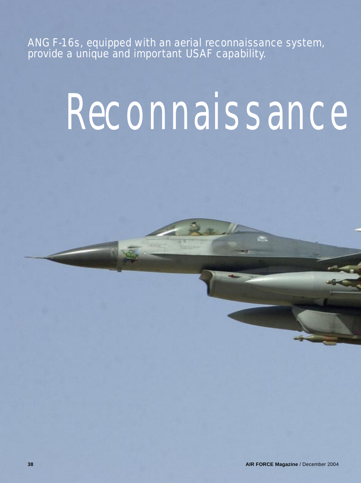ANG F-16s, equipped with an aerial reconnaissance system, provide a unique and important USAF capability.

## **RECONNAISSANCE**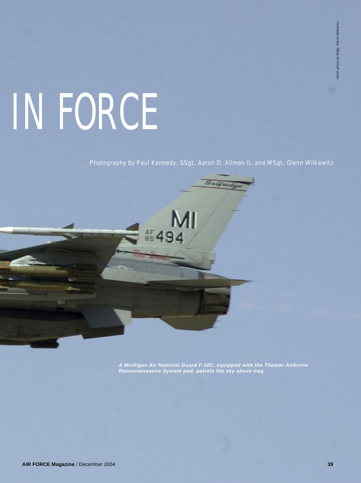## IN FORCE

Photography by Paul Kennedy, SSgt. Aaron D. Allmon II, and MSgt. Glenn Wilkewitz

MI

**A Michigan Air National Guard F-16C, equipped with the Theater Airborne Reconnaissance System pod, patrols the sky above Iraq.**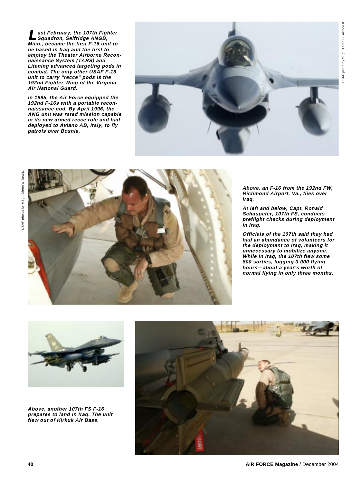**Last February, the 107th Fighter Squadron, Selfridge ANGB, Mich., became the first F-16 unit to be based in Iraq and the first to employ the Theater Airborne Reconnaissance System (TARS) and Litening advanced targeting pods in combat. The only other USAF F-16 unit to carry "recce" pods is the 192nd Fighter Wing of the Virginia Air National Guard.**

**In 1995, the Air Force equipped the 192nd F-16s with a portable reconnaissance pod. By April 1996, the ANG unit was rated mission capable in its new armed recce role and had deployed to Aviano AB, Italy, to fly patrols over Bosnia.**





**Above, an F-16 from the 192nd FW, Richmond Airport, Va., flies over Iraq.**

**At left and below, Capt. Ronald Schaupeter, 107th FS, conducts preflight checks during deployment in Iraq.**

**Officials of the 107th said they had had an abundance of volunteers for the deployment to Iraq, making it unnecessary to mobilize anyone. While in Iraq, the 107th flew some 800 sorties, logging 3,000 flying hours—about a year's worth of normal flying in only three months.**



**Above, another 107th FS F-16 prepares to land in Iraq. The unit flew out of Kirkuk Air Base.**

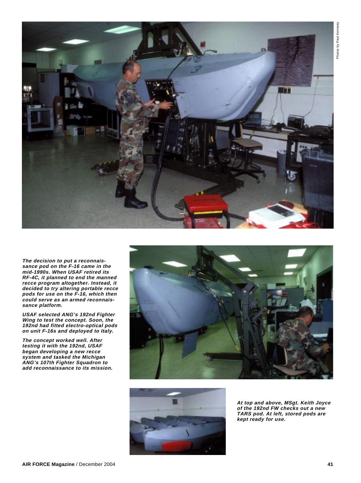

**The decision to put a reconnaissance pod on the F-16 came in the mid-1990s. When USAF retired its RF-4C, it planned to end the manned recce program altogether. Instead, it decided to try altering portable recce pods for use on the F-16, which then could serve as an armed reconnaissance platform.**

**USAF selected ANG's 192nd Fighter Wing to test the concept. Soon, the 192nd had fitted electro-optical pods on unit F-16s and deployed to Italy.**

**The concept worked well. After testing it with the 192nd, USAF began developing a new recce system and tasked the Michigan ANG's 107th Fighter Squadron to add reconnaissance to its mission.**





**At top and above, MSgt. Keith Joyce of the 192nd FW checks out a new TARS pod. At left, stored pods are kept ready for use.**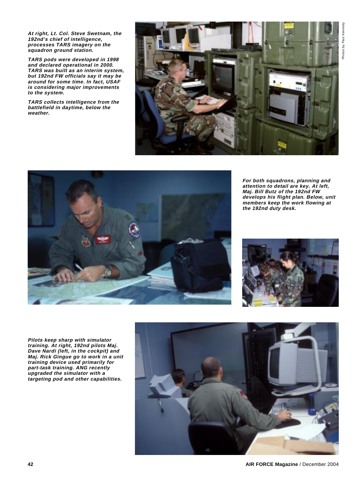Photos by Paul Kennedy Photos by Paul Kennedy

**At right, Lt. Col. Steve Swetnam, the 192nd's chief of intelligence, processes TARS imagery on the squadron ground station.**

**TARS pods were developed in 1998 and declared operational in 2000. TARS was built as an interim system, but 192nd FW officials say it may be around for some time. In fact, USAF is considering major improvements to the system.**

**TARS collects intelligence from the battlefield in daytime, below the weather.**





**For both squadrons, planning and attention to detail are key. At left, Maj. Bill Butz of the 192nd FW develops his flight plan. Below, unit members keep the work flowing at the 192nd duty desk.**



**Pilots keep sharp with simulator training. At right, 192nd pilots Maj. Dave Nardi (left, in the cockpit) and Maj. Rick Gingue go to work in a unit training device used primarily for part-task training. ANG recently upgraded the simulator with a targeting pod and other capabilities.**

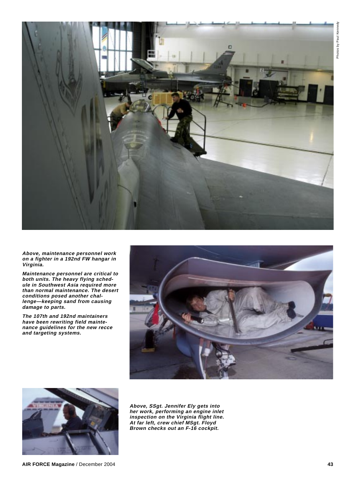

**Above, maintenance personnel work on a fighter in a 192nd FW hangar in Virginia.**

**Maintenance personnel are critical to both units. The heavy flying schedule in Southwest Asia required more than normal maintenance. The desert conditions posed another challenge—keeping sand from causing damage to parts.**

**The 107th and 192nd maintainers have been rewriting field maintenance guidelines for the new recce and targeting systems.**





**Above, SSgt. Jennifer Ely gets into her work, performing an engine inlet inspection on the Virginia flight line. At far left, crew chief MSgt. Floyd Brown checks out an F-16 cockpit.**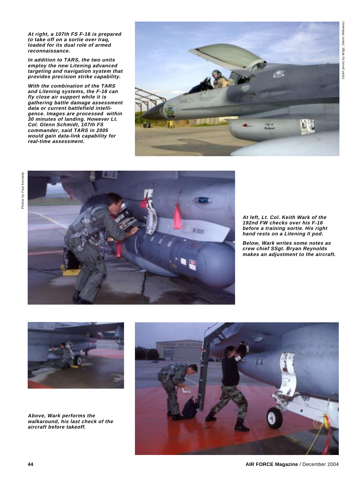**At right, a 107th FS F-16 is prepared to take off on a sortie over Iraq, loaded for its dual role of armed reconnaissance.**

**In addition to TARS, the two units employ the new Litening advanced targeting and navigation system that provides precision strike capability.**

**With the combination of the TARS and Litening systems, the F-16 can fly close air support while it is gathering battle damage assessment data or current battlefield intelligence. Images are processed within 30 minutes of landing. However Lt. Col. Glenn Schmidt, 107th FS commander, said TARS in 2005 would gain data-link capability for real-time assessment.**





**At left, Lt. Col. Keith Wark of the 192nd FW checks over his F-16 before a training sortie. His right hand rests on a Litening II pod.**

**Below, Wark writes some notes as crew chief SSgt. Bryan Reynolds makes an adjustment to the aircraft.**



**Above, Wark performs the walkaround, his last check of the aircraft before takeoff.**